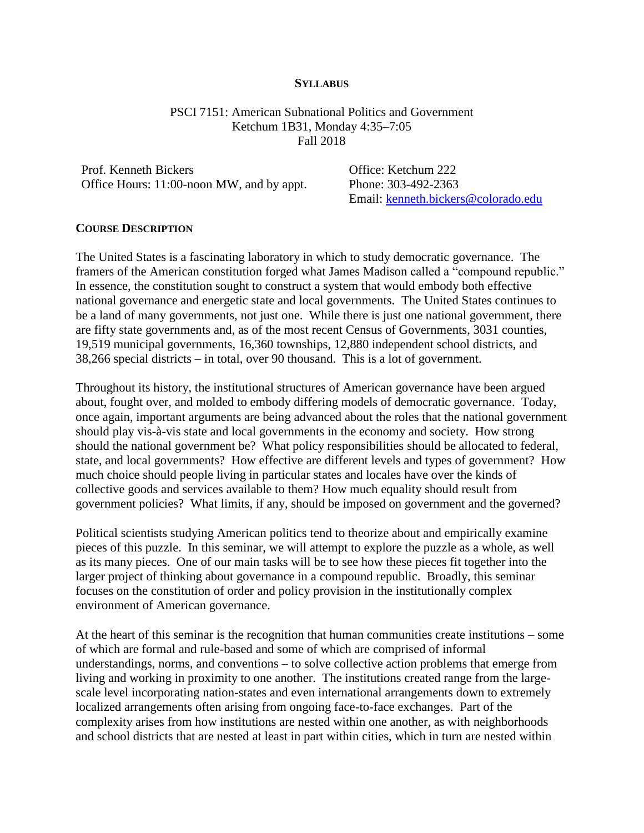#### **SYLLABUS**

PSCI 7151: American Subnational Politics and Government Ketchum 1B31, Monday 4:35–7:05 Fall 2018

Prof. Kenneth Bickers **Communist Communist Communist Communist Communist Communist Communist Communist Communist Communist Communist Communist Communist Communist Communist Communist Communist Communist Communist Communist** Office Hours: 11:00-noon MW, and by appt. Phone: 303-492-2363

Email: [kenneth.bickers@colorado.edu](mailto:kenneth.bickers@colorado.edu)

### **COURSE DESCRIPTION**

The United States is a fascinating laboratory in which to study democratic governance. The framers of the American constitution forged what James Madison called a "compound republic." In essence, the constitution sought to construct a system that would embody both effective national governance and energetic state and local governments. The United States continues to be a land of many governments, not just one. While there is just one national government, there are fifty state governments and, as of the most recent Census of Governments, 3031 counties, 19,519 municipal governments, 16,360 townships, 12,880 independent school districts, and 38,266 special districts – in total, over 90 thousand. This is a lot of government.

Throughout its history, the institutional structures of American governance have been argued about, fought over, and molded to embody differing models of democratic governance. Today, once again, important arguments are being advanced about the roles that the national government should play vis-à-vis state and local governments in the economy and society. How strong should the national government be? What policy responsibilities should be allocated to federal, state, and local governments? How effective are different levels and types of government? How much choice should people living in particular states and locales have over the kinds of collective goods and services available to them? How much equality should result from government policies? What limits, if any, should be imposed on government and the governed?

Political scientists studying American politics tend to theorize about and empirically examine pieces of this puzzle. In this seminar, we will attempt to explore the puzzle as a whole, as well as its many pieces. One of our main tasks will be to see how these pieces fit together into the larger project of thinking about governance in a compound republic. Broadly, this seminar focuses on the constitution of order and policy provision in the institutionally complex environment of American governance.

At the heart of this seminar is the recognition that human communities create institutions – some of which are formal and rule-based and some of which are comprised of informal understandings, norms, and conventions – to solve collective action problems that emerge from living and working in proximity to one another. The institutions created range from the largescale level incorporating nation-states and even international arrangements down to extremely localized arrangements often arising from ongoing face-to-face exchanges. Part of the complexity arises from how institutions are nested within one another, as with neighborhoods and school districts that are nested at least in part within cities, which in turn are nested within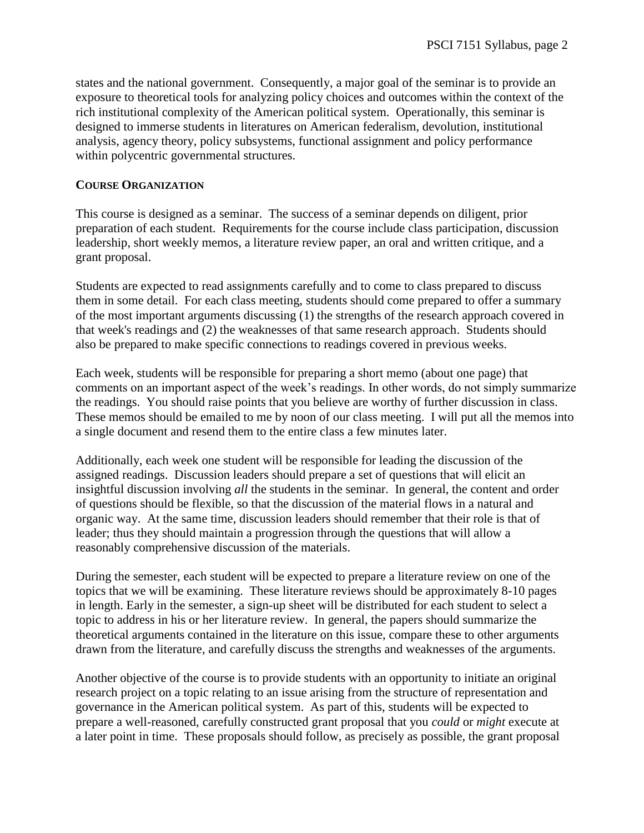states and the national government. Consequently, a major goal of the seminar is to provide an exposure to theoretical tools for analyzing policy choices and outcomes within the context of the rich institutional complexity of the American political system. Operationally, this seminar is designed to immerse students in literatures on American federalism, devolution, institutional analysis, agency theory, policy subsystems, functional assignment and policy performance within polycentric governmental structures.

# **COURSE ORGANIZATION**

This course is designed as a seminar. The success of a seminar depends on diligent, prior preparation of each student. Requirements for the course include class participation, discussion leadership, short weekly memos, a literature review paper, an oral and written critique, and a grant proposal.

Students are expected to read assignments carefully and to come to class prepared to discuss them in some detail. For each class meeting, students should come prepared to offer a summary of the most important arguments discussing (1) the strengths of the research approach covered in that week's readings and (2) the weaknesses of that same research approach. Students should also be prepared to make specific connections to readings covered in previous weeks.

Each week, students will be responsible for preparing a short memo (about one page) that comments on an important aspect of the week's readings. In other words, do not simply summarize the readings. You should raise points that you believe are worthy of further discussion in class. These memos should be emailed to me by noon of our class meeting. I will put all the memos into a single document and resend them to the entire class a few minutes later.

Additionally, each week one student will be responsible for leading the discussion of the assigned readings. Discussion leaders should prepare a set of questions that will elicit an insightful discussion involving *all* the students in the seminar. In general, the content and order of questions should be flexible, so that the discussion of the material flows in a natural and organic way. At the same time, discussion leaders should remember that their role is that of leader; thus they should maintain a progression through the questions that will allow a reasonably comprehensive discussion of the materials.

During the semester, each student will be expected to prepare a literature review on one of the topics that we will be examining. These literature reviews should be approximately 8-10 pages in length. Early in the semester, a sign-up sheet will be distributed for each student to select a topic to address in his or her literature review. In general, the papers should summarize the theoretical arguments contained in the literature on this issue, compare these to other arguments drawn from the literature, and carefully discuss the strengths and weaknesses of the arguments.

Another objective of the course is to provide students with an opportunity to initiate an original research project on a topic relating to an issue arising from the structure of representation and governance in the American political system. As part of this, students will be expected to prepare a well-reasoned, carefully constructed grant proposal that you *could* or *might* execute at a later point in time. These proposals should follow, as precisely as possible, the grant proposal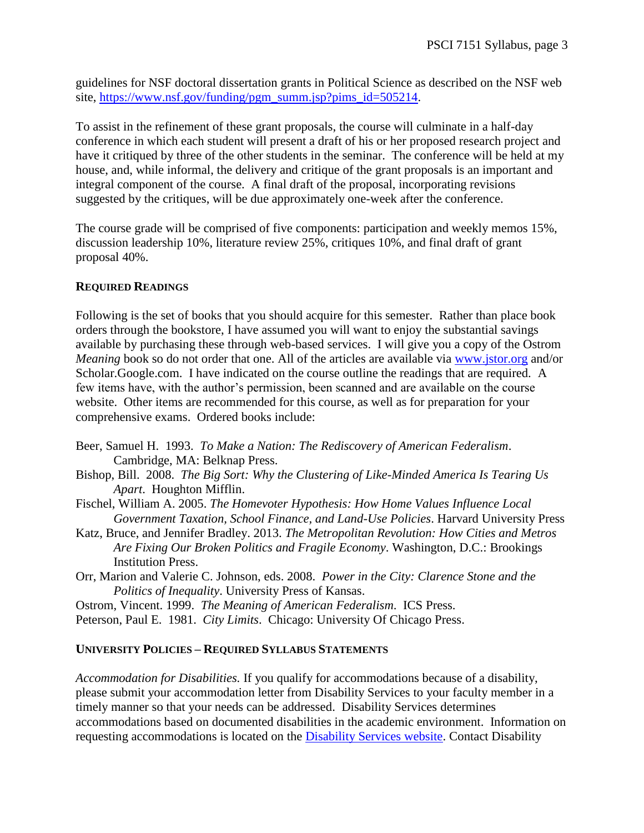guidelines for NSF doctoral dissertation grants in Political Science as described on the NSF web site, [https://www.nsf.gov/funding/pgm\\_summ.jsp?pims\\_id=505214.](https://www.nsf.gov/funding/pgm_summ.jsp?pims_id=505214)

To assist in the refinement of these grant proposals, the course will culminate in a half-day conference in which each student will present a draft of his or her proposed research project and have it critiqued by three of the other students in the seminar. The conference will be held at my house, and, while informal, the delivery and critique of the grant proposals is an important and integral component of the course. A final draft of the proposal, incorporating revisions suggested by the critiques, will be due approximately one-week after the conference.

The course grade will be comprised of five components: participation and weekly memos 15%, discussion leadership 10%, literature review 25%, critiques 10%, and final draft of grant proposal 40%.

# **REQUIRED READINGS**

Following is the set of books that you should acquire for this semester. Rather than place book orders through the bookstore, I have assumed you will want to enjoy the substantial savings available by purchasing these through web-based services. I will give you a copy of the Ostrom *Meaning* book so do not order that one. All of the articles are available via [www.jstor.org](http://www.jstor.org/) and/or Scholar.Google.com. I have indicated on the course outline the readings that are required. A few items have, with the author's permission, been scanned and are available on the course website. Other items are recommended for this course, as well as for preparation for your comprehensive exams. Ordered books include:

- Beer, Samuel H. 1993. *To Make a Nation: The Rediscovery of American Federalism*. Cambridge, MA: Belknap Press.
- Bishop, Bill. 2008. *The Big Sort: Why the Clustering of Like-Minded America Is Tearing Us Apart*. Houghton Mifflin.
- Fischel, William A. 2005. *The Homevoter Hypothesis: How Home Values Influence Local Government Taxation, School Finance, and Land-Use Policies*. Harvard University Press
- Katz, Bruce, and Jennifer Bradley. 2013. *The Metropolitan Revolution: How Cities and Metros Are Fixing Our Broken Politics and Fragile Economy*. Washington, D.C.: Brookings Institution Press.
- Orr, Marion and Valerie C. Johnson, eds. 2008. *Power in the City: Clarence Stone and the Politics of Inequality*. University Press of Kansas.

Ostrom, Vincent. 1999. *The Meaning of American Federalism*. ICS Press.

Peterson, Paul E. 1981. *City Limits*. Chicago: University Of Chicago Press.

# **UNIVERSITY POLICIES – REQUIRED SYLLABUS STATEMENTS**

*Accommodation for Disabilities.* If you qualify for accommodations because of a disability, please submit your accommodation letter from Disability Services to your faculty member in a timely manner so that your needs can be addressed. Disability Services determines accommodations based on documented disabilities in the academic environment. Information on requesting accommodations is located on the [Disability Services website.](http://www.colorado.edu/disabilityservices/students) Contact Disability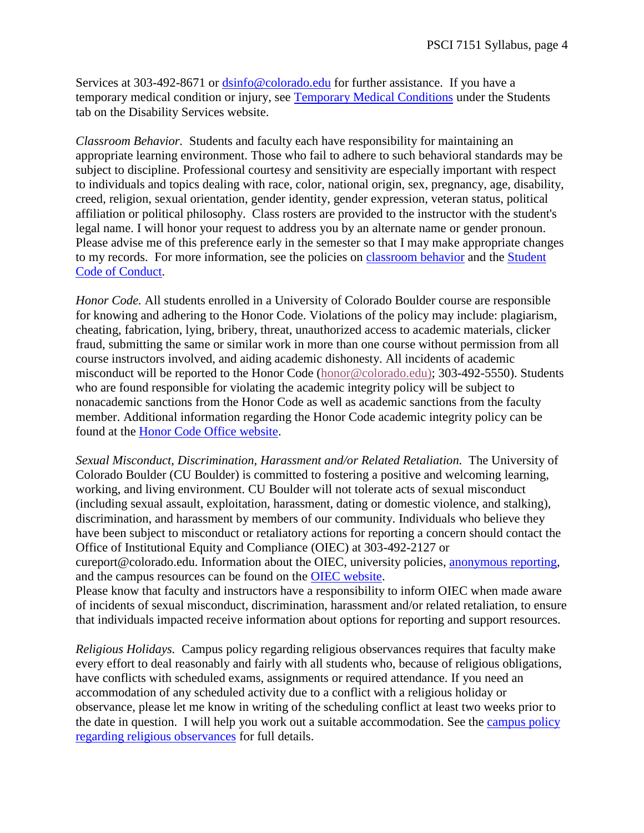Services at 303-492-8671 or [dsinfo@colorado.edu](mailto:dsinfo@colorado.edu) for further assistance. If you have a temporary medical condition or injury, see [Temporary Medical Conditions](http://www.colorado.edu/disabilityservices/students/temporary-medical-conditions) under the Students tab on the Disability Services website.

*Classroom Behavior.* Students and faculty each have responsibility for maintaining an appropriate learning environment. Those who fail to adhere to such behavioral standards may be subject to discipline. Professional courtesy and sensitivity are especially important with respect to individuals and topics dealing with race, color, national origin, sex, pregnancy, age, disability, creed, religion, sexual orientation, gender identity, gender expression, veteran status, political affiliation or political philosophy. Class rosters are provided to the instructor with the student's legal name. I will honor your request to address you by an alternate name or gender pronoun. Please advise me of this preference early in the semester so that I may make appropriate changes to my records. For more information, see the policies on [classroom behavior](http://www.colorado.edu/policies/student-classroom-and-course-related-behavior) and the [Student](http://www.colorado.edu/osccr/)  [Code of Conduct.](http://www.colorado.edu/osccr/)

*Honor Code.* All students enrolled in a University of Colorado Boulder course are responsible for knowing and adhering to the Honor Code. Violations of the policy may include: plagiarism, cheating, fabrication, lying, bribery, threat, unauthorized access to academic materials, clicker fraud, submitting the same or similar work in more than one course without permission from all course instructors involved, and aiding academic dishonesty. All incidents of academic misconduct will be reported to the Honor Code [\(honor@colorado.edu\)](mailto:honor@colorado.edu); 303-492-5550). Students who are found responsible for violating the academic integrity policy will be subject to nonacademic sanctions from the Honor Code as well as academic sanctions from the faculty member. Additional information regarding the Honor Code academic integrity policy can be found at the [Honor Code Office website.](https://www.colorado.edu/osccr/honor-code)

*Sexual Misconduct, Discrimination, Harassment and/or Related Retaliation.* The University of Colorado Boulder (CU Boulder) is committed to fostering a positive and welcoming learning, working, and living environment. CU Boulder will not tolerate acts of sexual misconduct (including sexual assault, exploitation, harassment, dating or domestic violence, and stalking), discrimination, and harassment by members of our community. Individuals who believe they have been subject to misconduct or retaliatory actions for reporting a concern should contact the Office of Institutional Equity and Compliance (OIEC) at 303-492-2127 or cureport@colorado.edu. Information about the OIEC, university policies, [anonymous reporting,](https://cuboulder.qualtrics.com/jfe/form/SV_0PnqVK4kkIJIZnf) and the campus resources can be found on the [OIEC website.](http://www.colorado.edu/institutionalequity/) Please know that faculty and instructors have a responsibility to inform OIEC when made aware of incidents of sexual misconduct, discrimination, harassment and/or related retaliation, to ensure that individuals impacted receive information about options for reporting and support resources.

*Religious Holidays.* Campus policy regarding religious observances requires that faculty make every effort to deal reasonably and fairly with all students who, because of religious obligations, have conflicts with scheduled exams, assignments or required attendance. If you need an accommodation of any scheduled activity due to a conflict with a religious holiday or observance, please let me know in writing of the scheduling conflict at least two weeks prior to the date in question. I will help you work out a suitable accommodation. See the [campus policy](http://www.colorado.edu/policies/observance-religious-holidays-and-absences-classes-andor-exams)  [regarding religious observances](http://www.colorado.edu/policies/observance-religious-holidays-and-absences-classes-andor-exams) for full details.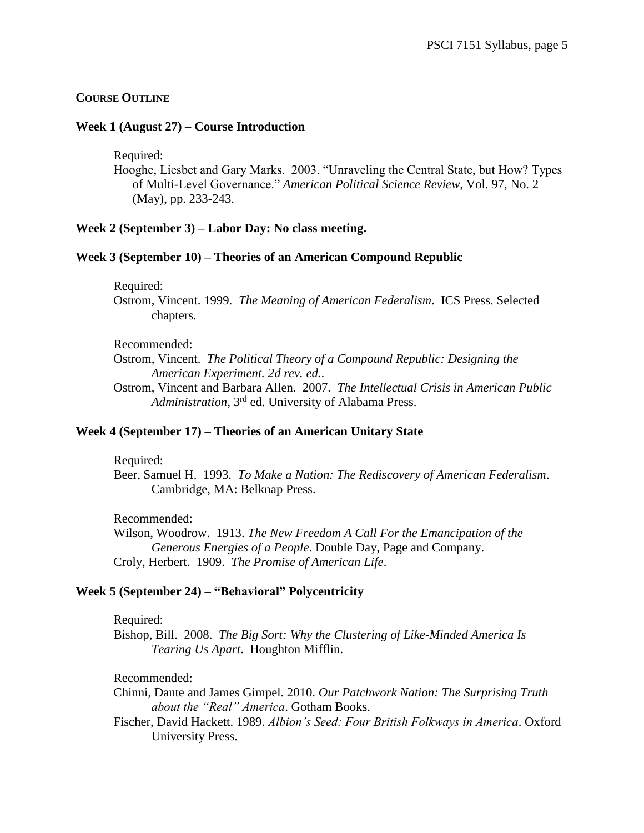## **COURSE OUTLINE**

### **Week 1 (August 27) – Course Introduction**

Required:

Hooghe, Liesbet and Gary Marks. 2003. "Unraveling the Central State, but How? Types of Multi-Level Governance." *American Political Science Review*, Vol. 97, No. 2 (May), pp. 233-243.

### **Week 2 (September 3) – Labor Day: No class meeting.**

#### **Week 3 (September 10) – Theories of an American Compound Republic**

Required:

Ostrom, Vincent. 1999. *The Meaning of American Federalism*. ICS Press. Selected chapters.

#### Recommended:

Ostrom, Vincent. *The Political Theory of a Compound Republic: Designing the American Experiment. 2d rev. ed.*.

Ostrom, Vincent and Barbara Allen. 2007. *The Intellectual Crisis in American Public Administration*, 3rd ed. University of Alabama Press.

### **Week 4 (September 17) – Theories of an American Unitary State**

Required:

Beer, Samuel H. 1993. *To Make a Nation: The Rediscovery of American Federalism*. Cambridge, MA: Belknap Press.

Recommended:

Wilson, Woodrow. 1913. *The New Freedom A Call For the Emancipation of the Generous Energies of a People*. Double Day, Page and Company. Croly, Herbert. 1909. *The Promise of American Life*.

#### **Week 5 (September 24) – "Behavioral" Polycentricity**

#### Required:

Bishop, Bill. 2008. *The Big Sort: Why the Clustering of Like-Minded America Is Tearing Us Apart*. Houghton Mifflin.

Recommended:

Chinni, Dante and James Gimpel. 2010. *Our Patchwork Nation: The Surprising Truth about the "Real" America*. Gotham Books.

Fischer, David Hackett. 1989. *Albion's Seed: Four British Folkways in America*. Oxford University Press.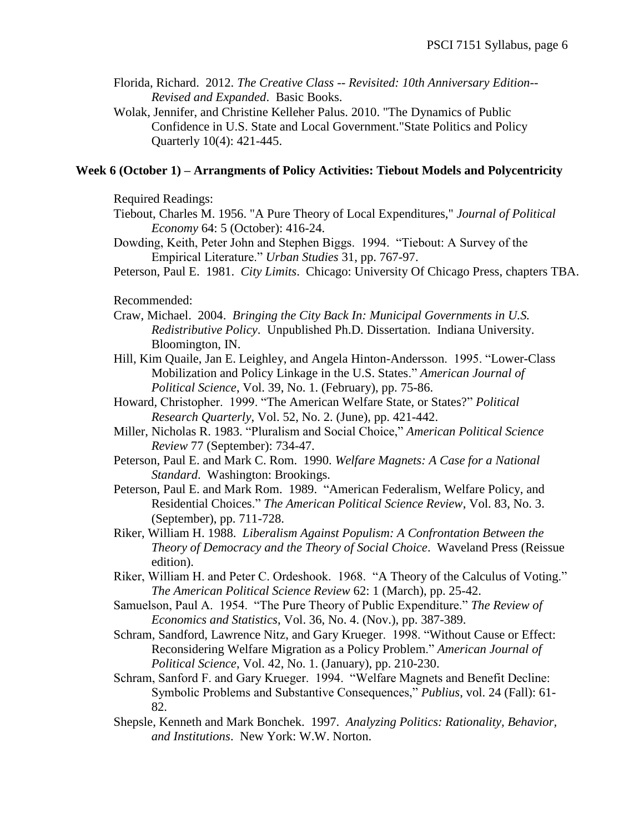- Florida, Richard. 2012. *The Creative Class -- Revisited: 10th Anniversary Edition-- Revised and Expanded*. Basic Books.
- Wolak, Jennifer, and Christine Kelleher Palus. 2010. "The Dynamics of Public Confidence in U.S. State and Local Government."State Politics and Policy Quarterly 10(4): 421-445.

## **Week 6 (October 1) – Arrangments of Policy Activities: Tiebout Models and Polycentricity**

Required Readings:

- Tiebout, Charles M. 1956. "A Pure Theory of Local Expenditures," *Journal of Political Economy* 64: 5 (October): 416-24.
- Dowding, Keith, Peter John and Stephen Biggs. 1994. "Tiebout: A Survey of the Empirical Literature." *Urban Studies* 31, pp. 767-97.
- Peterson, Paul E. 1981. *City Limits*. Chicago: University Of Chicago Press, chapters TBA.

Recommended:

- Craw, Michael. 2004. *Bringing the City Back In: Municipal Governments in U.S. Redistributive Policy*. Unpublished Ph.D. Dissertation. Indiana University. Bloomington, IN.
- Hill, Kim Quaile, Jan E. Leighley, and Angela Hinton-Andersson. 1995. "Lower-Class Mobilization and Policy Linkage in the U.S. States." *American Journal of Political Science*, Vol. 39, No. 1. (February), pp. 75-86.
- Howard, Christopher. 1999. "The American Welfare State, or States?" *Political Research Quarterly*, Vol. 52, No. 2. (June), pp. 421-442.
- Miller, Nicholas R. 1983. "Pluralism and Social Choice," *American Political Science Review* 77 (September): 734-47.
- Peterson, Paul E. and Mark C. Rom. 1990. *Welfare Magnets: A Case for a National Standard*. Washington: Brookings.
- Peterson, Paul E. and Mark Rom. 1989. "American Federalism, Welfare Policy, and Residential Choices." *The American Political Science Review*, Vol. 83, No. 3. (September), pp. 711-728.
- Riker, William H. 1988. *Liberalism Against Populism: A Confrontation Between the Theory of Democracy and the Theory of Social Choice*. Waveland Press (Reissue edition).
- Riker, William H. and Peter C. Ordeshook. 1968. "A Theory of the Calculus of Voting." *The American Political Science Review* 62: 1 (March), pp. 25-42.
- Samuelson, Paul A. 1954. "The Pure Theory of Public Expenditure." *The Review of Economics and Statistics*, Vol. 36, No. 4. (Nov.), pp. 387-389.
- Schram, Sandford, Lawrence Nitz, and Gary Krueger. 1998. "Without Cause or Effect: Reconsidering Welfare Migration as a Policy Problem." *American Journal of Political Science*, Vol. 42, No. 1. (January), pp. 210-230.
- Schram, Sanford F. and Gary Krueger. 1994. "Welfare Magnets and Benefit Decline: Symbolic Problems and Substantive Consequences," *Publius*, vol. 24 (Fall): 61- 82.
- Shepsle, Kenneth and Mark Bonchek. 1997. *Analyzing Politics: Rationality, Behavior, and Institutions*. New York: W.W. Norton.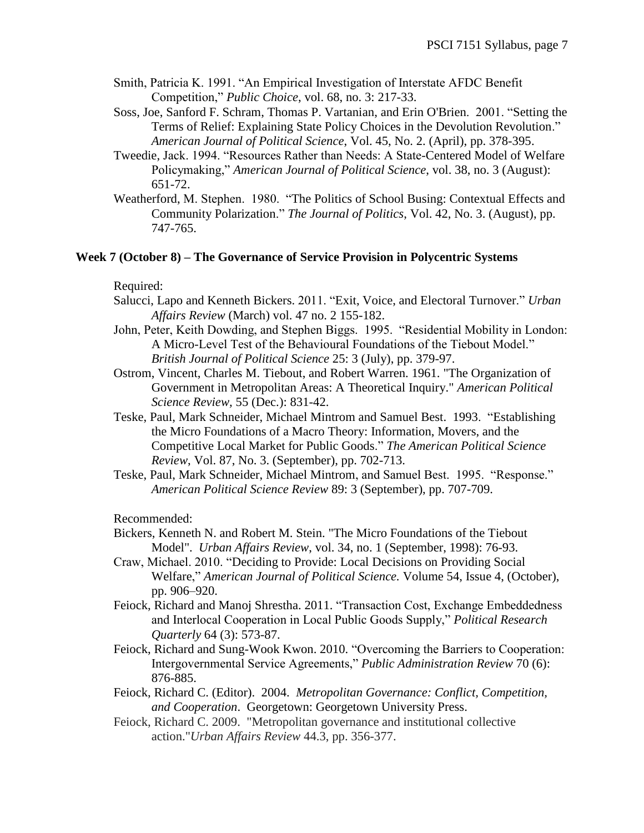- Smith, Patricia K. 1991. "An Empirical Investigation of Interstate AFDC Benefit Competition," *Public Choice*, vol. 68, no. 3: 217-33.
- Soss, Joe, Sanford F. Schram, Thomas P. Vartanian, and Erin O'Brien. 2001. "Setting the Terms of Relief: Explaining State Policy Choices in the Devolution Revolution." *American Journal of Political Science*, Vol. 45, No. 2. (April), pp. 378-395.
- Tweedie, Jack. 1994. "Resources Rather than Needs: A State-Centered Model of Welfare Policymaking," *American Journal of Political Science*, vol. 38, no. 3 (August): 651-72.
- Weatherford, M. Stephen. 1980. "The Politics of School Busing: Contextual Effects and Community Polarization." *The Journal of Politics*, Vol. 42, No. 3. (August), pp. 747-765.

## **Week 7 (October 8) – The Governance of Service Provision in Polycentric Systems**

#### Required:

- Salucci, Lapo and Kenneth Bickers. 2011. "Exit, Voice, and Electoral Turnover." *Urban Affairs Review* (March) vol. 47 no. 2 155-182.
- John, Peter, Keith Dowding, and Stephen Biggs. 1995. "Residential Mobility in London: A Micro-Level Test of the Behavioural Foundations of the Tiebout Model." *British Journal of Political Science* 25: 3 (July), pp. 379-97.
- Ostrom, Vincent, Charles M. Tiebout, and Robert Warren. 1961. "The Organization of Government in Metropolitan Areas: A Theoretical Inquiry." *American Political Science Review,* 55 (Dec.): 831-42.
- Teske, Paul, Mark Schneider, Michael Mintrom and Samuel Best. 1993. "Establishing the Micro Foundations of a Macro Theory: Information, Movers, and the Competitive Local Market for Public Goods." *The American Political Science Review*, Vol. 87, No. 3. (September), pp. 702-713.
- Teske, Paul, Mark Schneider, Michael Mintrom, and Samuel Best. 1995. "Response." *American Political Science Review* 89: 3 (September), pp. 707-709.

Recommended:

- Bickers, Kenneth N. and Robert M. Stein. "The Micro Foundations of the Tiebout Model". *Urban Affairs Review*, vol. 34, no. 1 (September, 1998): 76-93.
- Craw, Michael. 2010. "Deciding to Provide: Local Decisions on Providing Social Welfare," *American Journal of Political Science.* Volume 54, Issue 4, (October), pp. 906–920.
- Feiock, Richard and Manoj Shrestha. 2011. "Transaction Cost, Exchange Embeddedness and Interlocal Cooperation in Local Public Goods Supply," *Political Research Quarterly* 64 (3): 573-87.
- Feiock, Richard and Sung-Wook Kwon. 2010. "Overcoming the Barriers to Cooperation: Intergovernmental Service Agreements," *Public Administration Review* 70 (6): 876-885.
- Feiock, Richard C. (Editor). 2004. *Metropolitan Governance: Conflict, Competition, and Cooperation*. Georgetown: Georgetown University Press.
- Feiock, Richard C. 2009. "Metropolitan governance and institutional collective action."*Urban Affairs Review* 44.3, pp. 356-377.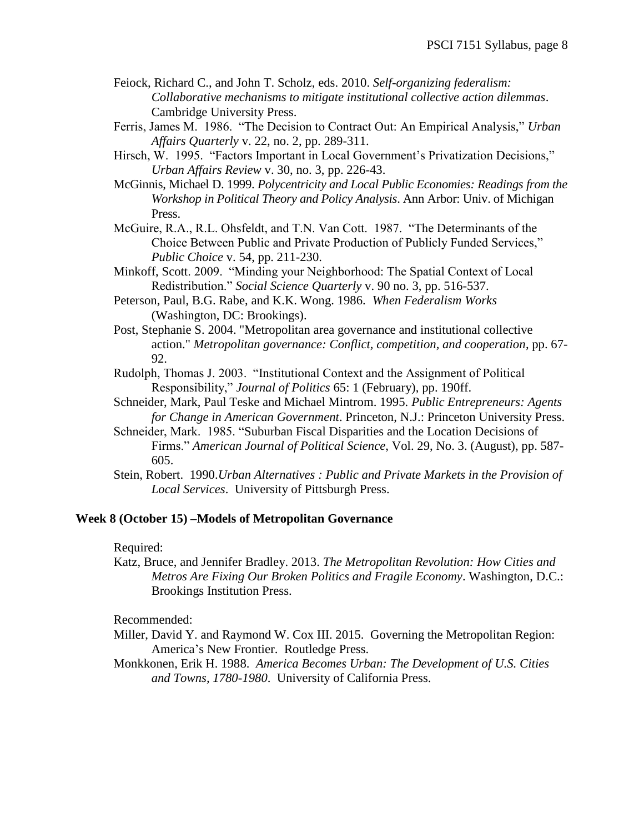- Feiock, Richard C., and John T. Scholz, eds. 2010. *Self-organizing federalism: Collaborative mechanisms to mitigate institutional collective action dilemmas*. Cambridge University Press.
- Ferris, James M. 1986. "The Decision to Contract Out: An Empirical Analysis," *Urban Affairs Quarterly* v. 22, no. 2, pp. 289-311.
- Hirsch, W. 1995. "Factors Important in Local Government's Privatization Decisions," *Urban Affairs Review* v. 30, no. 3, pp. 226-43.

McGinnis, Michael D. 1999. *Polycentricity and Local Public Economies: Readings from the Workshop in Political Theory and Policy Analysis*. Ann Arbor: Univ. of Michigan Press.

- McGuire, R.A., R.L. Ohsfeldt, and T.N. Van Cott. 1987. "The Determinants of the Choice Between Public and Private Production of Publicly Funded Services," *Public Choice* v. 54, pp. 211-230.
- Minkoff, Scott. 2009. "Minding your Neighborhood: The Spatial Context of Local Redistribution." *Social Science Quarterly* v. 90 no. 3, pp. 516-537.
- Peterson, Paul, B.G. Rabe, and K.K. Wong. 1986. *When Federalism Works* (Washington, DC: Brookings).
- Post, Stephanie S. 2004. "Metropolitan area governance and institutional collective action." *Metropolitan governance: Conflict, competition, and cooperation*, pp. 67- 92.
- Rudolph, Thomas J. 2003. "Institutional Context and the Assignment of Political Responsibility," *Journal of Politics* 65: 1 (February), pp. 190ff.
- Schneider, Mark, Paul Teske and Michael Mintrom. 1995. *Public Entrepreneurs: Agents for Change in American Government*. Princeton, N.J.: Princeton University Press.
- Schneider, Mark. 1985. "Suburban Fiscal Disparities and the Location Decisions of Firms." *American Journal of Political Science*, Vol. 29, No. 3. (August), pp. 587- 605.
- Stein, Robert. 1990.*Urban Alternatives : Public and Private Markets in the Provision of Local Services*. University of Pittsburgh Press.

# **Week 8 (October 15) –Models of Metropolitan Governance**

Required:

Katz, Bruce, and Jennifer Bradley. 2013. *The Metropolitan Revolution: How Cities and Metros Are Fixing Our Broken Politics and Fragile Economy*. Washington, D.C.: Brookings Institution Press.

Recommended:

- Miller, David Y. and Raymond W. Cox III. 2015. Governing the Metropolitan Region: America's New Frontier. Routledge Press.
- Monkkonen, Erik H. 1988. *America Becomes Urban: The Development of U.S. Cities and Towns, 1780-1980*. University of California Press.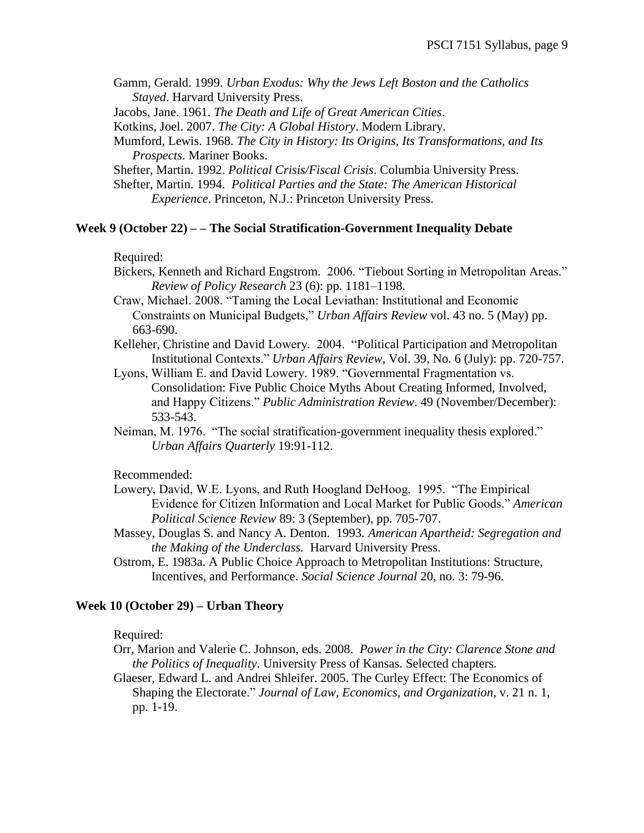- Gamm, Gerald. 1999. *Urban Exodus: Why the Jews Left Boston and the Catholics Stayed*. Harvard University Press.
- Jacobs, Jane. 1961. *The Death and Life of Great American Cities*.
- Kotkins, Joel. 2007. *The City: A Global History*. Modern Library.
- Mumford, Lewis. 1968. *The City in History: Its Origins, Its Transformations, and Its Prospects*. Mariner Books.
- Shefter, Martin. 1992. *Political Crisis/Fiscal Crisis*. Columbia University Press.
- Shefter, Martin. 1994. *Political Parties and the State: The American Historical Experience*. Princeton, N.J.: Princeton University Press.

#### **Week 9 (October 22) – – The Social Stratification-Government Inequality Debate**

## Required:

- Bickers, Kenneth and Richard Engstrom. 2006. "Tiebout Sorting in Metropolitan Areas." *Review of Policy Research* 23 (6): pp. 1181–1198.
- Craw, Michael. 2008. "Taming the Local Leviathan: Institutional and Economic Constraints on Municipal Budgets," *Urban Affairs Review* vol. 43 no. 5 (May) pp. 663-690.
- Kelleher, Christine and David Lowery. 2004. "Political Participation and Metropolitan Institutional Contexts." *Urban Affairs Review*, Vol. 39, No. 6 (July): pp. 720-757.
- Lyons, William E. and David Lowery. 1989. "Governmental Fragmentation vs. Consolidation: Five Public Choice Myths About Creating Informed, Involved, and Happy Citizens." *Public Administration Review*. 49 (November/December): 533-543.
- Neiman, M. 1976. "The social stratification-government inequality thesis explored." *Urban Affairs Quarterly* 19:91-112.

### Recommended:

- Lowery, David, W.E. Lyons, and Ruth Hoogland DeHoog. 1995. "The Empirical Evidence for Citizen Information and Local Market for Public Goods." *American Political Science Review* 89: 3 (September), pp. 705-707.
- Massey, Douglas S. and Nancy A. Denton. 1993. *American Apartheid: Segregation and the Making of the Underclass.* Harvard University Press.
- Ostrom, E. 1983a. A Public Choice Approach to Metropolitan Institutions: Structure, Incentives, and Performance. *Social Science Journal* 20, no. 3: 79-96.

#### **Week 10 (October 29) – Urban Theory**

#### Required:

Orr, Marion and Valerie C. Johnson, eds. 2008. *Power in the City: Clarence Stone and the Politics of Inequality*. University Press of Kansas. Selected chapters.

Glaeser, Edward L. and Andrei Shleifer. 2005. The Curley Effect: The Economics of Shaping the Electorate." *Journal of Law, Economics, and Organization*, v. 21 n. 1, pp. 1-19.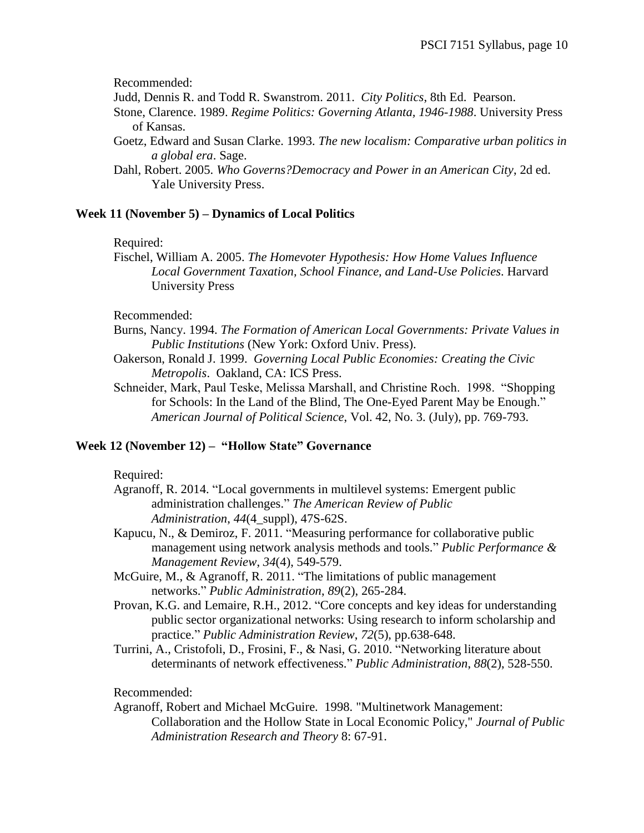Recommended:

- Judd, Dennis R. and Todd R. Swanstrom. 2011. *City Politics*, 8th Ed. Pearson.
- Stone, Clarence. 1989. *Regime Politics: Governing Atlanta, 1946-1988*. University Press of Kansas.
- Goetz, Edward and Susan Clarke. 1993. *The new localism: Comparative urban politics in a global era*. Sage.
- Dahl, Robert. 2005. *Who Governs?Democracy and Power in an American City*, 2d ed. Yale University Press.

# **Week 11 (November 5) – Dynamics of Local Politics**

## Required:

Fischel, William A. 2005. *The Homevoter Hypothesis: How Home Values Influence Local Government Taxation, School Finance, and Land-Use Policies*. Harvard University Press

Recommended:

Burns, Nancy. 1994. *The Formation of American Local Governments: Private Values in Public Institutions* (New York: Oxford Univ. Press).

- Oakerson, Ronald J. 1999. *Governing Local Public Economies: Creating the Civic Metropolis*. Oakland, CA: ICS Press.
- Schneider, Mark, Paul Teske, Melissa Marshall, and Christine Roch. 1998. "Shopping for Schools: In the Land of the Blind, The One-Eyed Parent May be Enough." *American Journal of Political Science*, Vol. 42, No. 3. (July), pp. 769-793.

# **Week 12 (November 12) – "Hollow State" Governance**

Required:

- Agranoff, R. 2014. "Local governments in multilevel systems: Emergent public administration challenges." *The American Review of Public Administration*, *44*(4\_suppl), 47S-62S.
- Kapucu, N., & Demiroz, F. 2011. "Measuring performance for collaborative public management using network analysis methods and tools." *Public Performance & Management Review*, *34*(4), 549-579.
- McGuire, M., & Agranoff, R. 2011. "The limitations of public management networks." *Public Administration*, *89*(2), 265-284.
- Provan, K.G. and Lemaire, R.H., 2012. "Core concepts and key ideas for understanding public sector organizational networks: Using research to inform scholarship and practice." *Public Administration Review*, *72*(5), pp.638-648.
- Turrini, A., Cristofoli, D., Frosini, F., & Nasi, G. 2010. "Networking literature about determinants of network effectiveness." *Public Administration*, *88*(2), 528-550.

Recommended:

Agranoff, Robert and Michael McGuire. 1998. "Multinetwork Management: Collaboration and the Hollow State in Local Economic Policy," *Journal of Public Administration Research and Theory* 8: 67-91.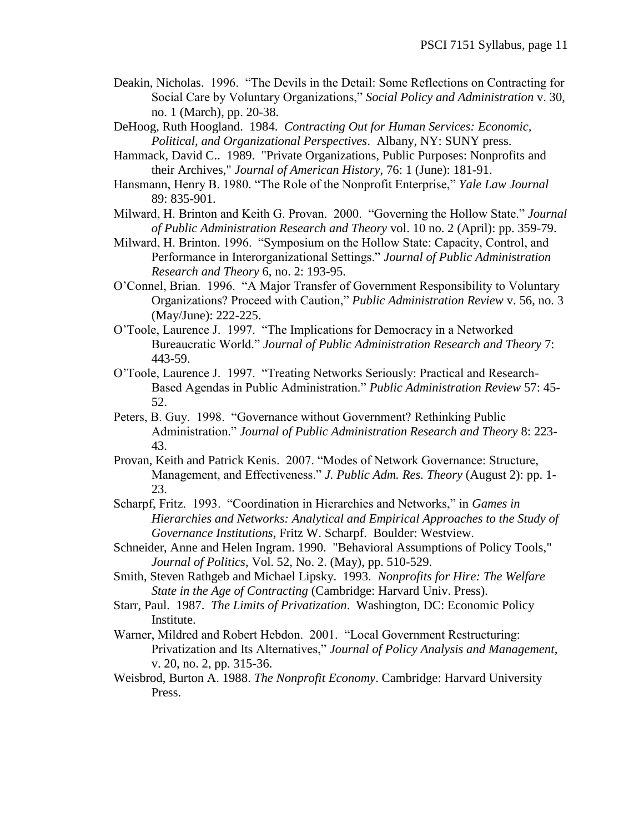- Deakin, Nicholas. 1996. "The Devils in the Detail: Some Reflections on Contracting for Social Care by Voluntary Organizations," *Social Policy and Administration* v. 30, no. 1 (March), pp. 20-38.
- DeHoog, Ruth Hoogland. 1984. *Contracting Out for Human Services: Economic, Political, and Organizational Perspectives*. Albany, NY: SUNY press.
- Hammack, David C.. 1989. "Private Organizations, Public Purposes: Nonprofits and their Archives," *Journal of American History*, 76: 1 (June): 181-91.
- Hansmann, Henry B. 1980. "The Role of the Nonprofit Enterprise," *Yale Law Journal* 89: 835-901.
- Milward, H. Brinton and Keith G. Provan. 2000. "Governing the Hollow State." *Journal of Public Administration Research and Theory* vol. 10 no. 2 (April): pp. 359-79.
- Milward, H. Brinton. 1996. "Symposium on the Hollow State: Capacity, Control, and Performance in Interorganizational Settings." *Journal of Public Administration Research and Theory* 6, no. 2: 193-95.
- O'Connel, Brian. 1996. "A Major Transfer of Government Responsibility to Voluntary Organizations? Proceed with Caution," *Public Administration Review* v. 56, no. 3 (May/June): 222-225.
- O'Toole, Laurence J. 1997. "The Implications for Democracy in a Networked Bureaucratic World." *Journal of Public Administration Research and Theory* 7: 443-59.
- O'Toole, Laurence J. 1997. "Treating Networks Seriously: Practical and Research-Based Agendas in Public Administration." *Public Administration Review* 57: 45- 52.
- Peters, B. Guy. 1998. "Governance without Government? Rethinking Public Administration." *Journal of Public Administration Research and Theory* 8: 223- 43.
- Provan, Keith and Patrick Kenis. 2007. "Modes of Network Governance: Structure, Management, and Effectiveness." *J. Public Adm. Res. Theory* (August 2): pp. 1- 23.
- Scharpf, Fritz. 1993. "Coordination in Hierarchies and Networks," in *Games in Hierarchies and Networks: Analytical and Empirical Approaches to the Study of Governance Institutions*, Fritz W. Scharpf. Boulder: Westview.
- Schneider, Anne and Helen Ingram. 1990. "Behavioral Assumptions of Policy Tools," *Journal of Politics*, Vol. 52, No. 2. (May), pp. 510-529.
- Smith, Steven Rathgeb and Michael Lipsky. 1993. *Nonprofits for Hire: The Welfare State in the Age of Contracting* (Cambridge: Harvard Univ. Press).
- Starr, Paul. 1987. *The Limits of Privatization*. Washington, DC: Economic Policy Institute.
- Warner, Mildred and Robert Hebdon. 2001. "Local Government Restructuring: Privatization and Its Alternatives," *Journal of Policy Analysis and Management*, v. 20, no. 2, pp. 315-36.
- Weisbrod, Burton A. 1988. *The Nonprofit Economy*. Cambridge: Harvard University Press.